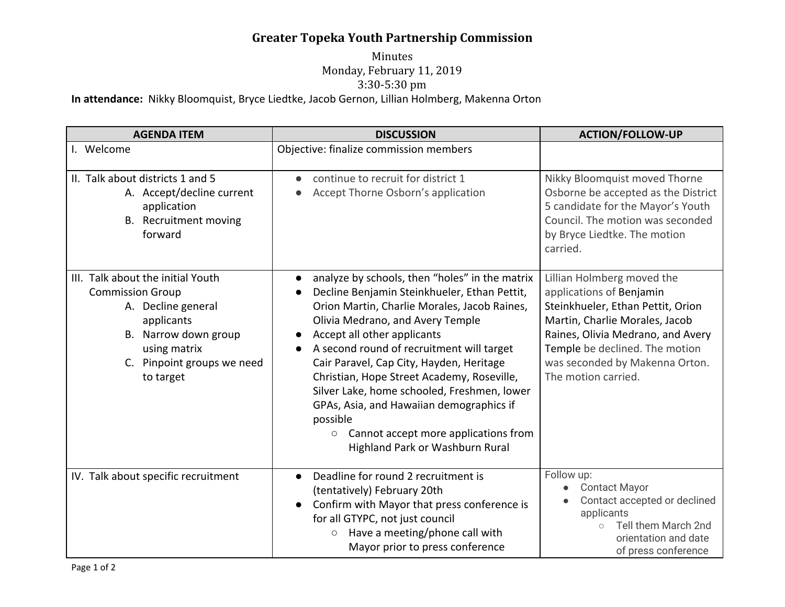## **Greater Topeka Youth Partnership Commission**

## Minutes Monday, February 11, 2019 3:30-5:30 pm **In attendance:** Nikky Bloomquist, Bryce Liedtke, Jacob Gernon, Lillian Holmberg, Makenna Orton

| <b>AGENDA ITEM</b>                                                                                                                                                                  | <b>DISCUSSION</b>                                                                                                                                                                                                                                                                                                                                                                                                                                                                                                                                                                                        | <b>ACTION/FOLLOW-UP</b>                                                                                                                                                                                                                                       |
|-------------------------------------------------------------------------------------------------------------------------------------------------------------------------------------|----------------------------------------------------------------------------------------------------------------------------------------------------------------------------------------------------------------------------------------------------------------------------------------------------------------------------------------------------------------------------------------------------------------------------------------------------------------------------------------------------------------------------------------------------------------------------------------------------------|---------------------------------------------------------------------------------------------------------------------------------------------------------------------------------------------------------------------------------------------------------------|
| I. Welcome                                                                                                                                                                          | Objective: finalize commission members                                                                                                                                                                                                                                                                                                                                                                                                                                                                                                                                                                   |                                                                                                                                                                                                                                                               |
| II. Talk about districts 1 and 5<br>A. Accept/decline current<br>application<br>B. Recruitment moving<br>forward                                                                    | continue to recruit for district 1<br>Accept Thorne Osborn's application                                                                                                                                                                                                                                                                                                                                                                                                                                                                                                                                 | Nikky Bloomquist moved Thorne<br>Osborne be accepted as the District<br>5 candidate for the Mayor's Youth<br>Council. The motion was seconded<br>by Bryce Liedtke. The motion<br>carried.                                                                     |
| III. Talk about the initial Youth<br><b>Commission Group</b><br>A. Decline general<br>applicants<br>B. Narrow down group<br>using matrix<br>C. Pinpoint groups we need<br>to target | analyze by schools, then "holes" in the matrix<br>$\bullet$<br>Decline Benjamin Steinkhueler, Ethan Pettit,<br>Orion Martin, Charlie Morales, Jacob Raines,<br>Olivia Medrano, and Avery Temple<br>Accept all other applicants<br>$\bullet$<br>A second round of recruitment will target<br>$\bullet$<br>Cair Paravel, Cap City, Hayden, Heritage<br>Christian, Hope Street Academy, Roseville,<br>Silver Lake, home schooled, Freshmen, lower<br>GPAs, Asia, and Hawaiian demographics if<br>possible<br>Cannot accept more applications from<br>$\circlearrowright$<br>Highland Park or Washburn Rural | Lillian Holmberg moved the<br>applications of Benjamin<br>Steinkhueler, Ethan Pettit, Orion<br>Martin, Charlie Morales, Jacob<br>Raines, Olivia Medrano, and Avery<br>Temple be declined. The motion<br>was seconded by Makenna Orton.<br>The motion carried. |
| IV. Talk about specific recruitment                                                                                                                                                 | Deadline for round 2 recruitment is<br>$\bullet$<br>(tentatively) February 20th<br>Confirm with Mayor that press conference is<br>$\bullet$<br>for all GTYPC, not just council<br>Have a meeting/phone call with<br>$\circlearrowright$<br>Mayor prior to press conference                                                                                                                                                                                                                                                                                                                               | Follow up:<br><b>Contact Mayor</b><br>Contact accepted or declined<br>applicants<br>Tell them March 2nd<br>$\circ$<br>orientation and date<br>of press conference                                                                                             |